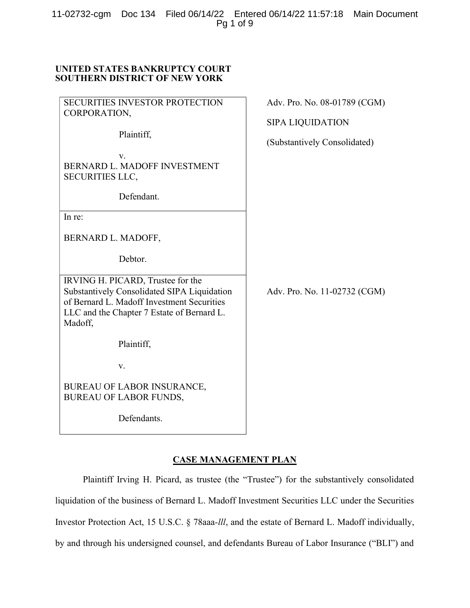11-02732-cgm Doc 134 Filed 06/14/22 Entered 06/14/22 11:57:18 Main Document Pg 1 of 9

## UNITED STATES BANKRUPTCY COURT SOUTHERN DISTRICT OF NEW YORK

| <b>SECURITIES INVESTOR PROTECTION</b>                                                                                                                                                   | Adv. Pro. No. 08-01789 (CGM) |
|-----------------------------------------------------------------------------------------------------------------------------------------------------------------------------------------|------------------------------|
| CORPORATION,                                                                                                                                                                            | <b>SIPA LIQUIDATION</b>      |
| Plaintiff,                                                                                                                                                                              | (Substantively Consolidated) |
| V.<br>BERNARD L. MADOFF INVESTMENT<br><b>SECURITIES LLC,</b>                                                                                                                            |                              |
| Defendant.                                                                                                                                                                              |                              |
| In re:                                                                                                                                                                                  |                              |
| BERNARD L. MADOFF,                                                                                                                                                                      |                              |
| Debtor.                                                                                                                                                                                 |                              |
| IRVING H. PICARD, Trustee for the<br>Substantively Consolidated SIPA Liquidation<br>of Bernard L. Madoff Investment Securities<br>LLC and the Chapter 7 Estate of Bernard L.<br>Madoff, | Adv. Pro. No. 11-02732 (CGM) |
| Plaintiff,                                                                                                                                                                              |                              |
| V.                                                                                                                                                                                      |                              |
| <b>BUREAU OF LABOR INSURANCE,</b><br><b>BUREAU OF LABOR FUNDS,</b>                                                                                                                      |                              |
| Defendants.                                                                                                                                                                             |                              |

## CASE MANAGEMENT PLAN

Plaintiff Irving H. Picard, as trustee (the "Trustee") for the substantively consolidated liquidation of the business of Bernard L. Madoff Investment Securities LLC under the Securities Investor Protection Act, 15 U.S.C. § 78aaa-lll, and the estate of Bernard L. Madoff individually, by and through his undersigned counsel, and defendants Bureau of Labor Insurance ("BLI") and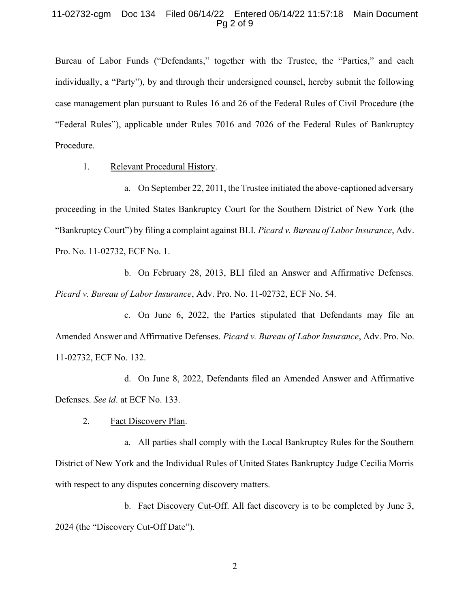#### 11-02732-cgm Doc 134 Filed 06/14/22 Entered 06/14/22 11:57:18 Main Document Pg 2 of 9

Bureau of Labor Funds ("Defendants," together with the Trustee, the "Parties," and each individually, a "Party"), by and through their undersigned counsel, hereby submit the following case management plan pursuant to Rules 16 and 26 of the Federal Rules of Civil Procedure (the "Federal Rules"), applicable under Rules 7016 and 7026 of the Federal Rules of Bankruptcy Procedure.

1. Relevant Procedural History.

a. On September 22, 2011, the Trustee initiated the above-captioned adversary proceeding in the United States Bankruptcy Court for the Southern District of New York (the "Bankruptcy Court") by filing a complaint against BLI. Picard v. Bureau of Labor Insurance, Adv. Pro. No. 11-02732, ECF No. 1.

b. On February 28, 2013, BLI filed an Answer and Affirmative Defenses. Picard v. Bureau of Labor Insurance, Adv. Pro. No. 11-02732, ECF No. 54.

c. On June 6, 2022, the Parties stipulated that Defendants may file an Amended Answer and Affirmative Defenses. Picard v. Bureau of Labor Insurance, Adv. Pro. No. 11-02732, ECF No. 132.

d. On June 8, 2022, Defendants filed an Amended Answer and Affirmative Defenses. See id. at ECF No. 133.

2. Fact Discovery Plan.

a. All parties shall comply with the Local Bankruptcy Rules for the Southern District of New York and the Individual Rules of United States Bankruptcy Judge Cecilia Morris with respect to any disputes concerning discovery matters.

b. Fact Discovery Cut-Off. All fact discovery is to be completed by June 3, 2024 (the "Discovery Cut-Off Date").

2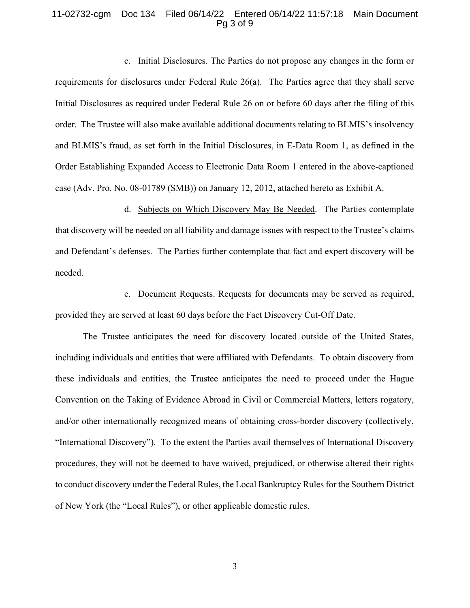#### 11-02732-cgm Doc 134 Filed 06/14/22 Entered 06/14/22 11:57:18 Main Document Pg 3 of 9

c. Initial Disclosures. The Parties do not propose any changes in the form or requirements for disclosures under Federal Rule 26(a). The Parties agree that they shall serve Initial Disclosures as required under Federal Rule 26 on or before 60 days after the filing of this order. The Trustee will also make available additional documents relating to BLMIS's insolvency and BLMIS's fraud, as set forth in the Initial Disclosures, in E-Data Room 1, as defined in the Order Establishing Expanded Access to Electronic Data Room 1 entered in the above-captioned case (Adv. Pro. No. 08-01789 (SMB)) on January 12, 2012, attached hereto as Exhibit A.

d. Subjects on Which Discovery May Be Needed. The Parties contemplate that discovery will be needed on all liability and damage issues with respect to the Trustee's claims and Defendant's defenses. The Parties further contemplate that fact and expert discovery will be needed.

e. Document Requests. Requests for documents may be served as required, provided they are served at least 60 days before the Fact Discovery Cut-Off Date.

The Trustee anticipates the need for discovery located outside of the United States, including individuals and entities that were affiliated with Defendants. To obtain discovery from these individuals and entities, the Trustee anticipates the need to proceed under the Hague Convention on the Taking of Evidence Abroad in Civil or Commercial Matters, letters rogatory, and/or other internationally recognized means of obtaining cross-border discovery (collectively, "International Discovery"). To the extent the Parties avail themselves of International Discovery procedures, they will not be deemed to have waived, prejudiced, or otherwise altered their rights to conduct discovery under the Federal Rules, the Local Bankruptcy Rules for the Southern District of New York (the "Local Rules"), or other applicable domestic rules.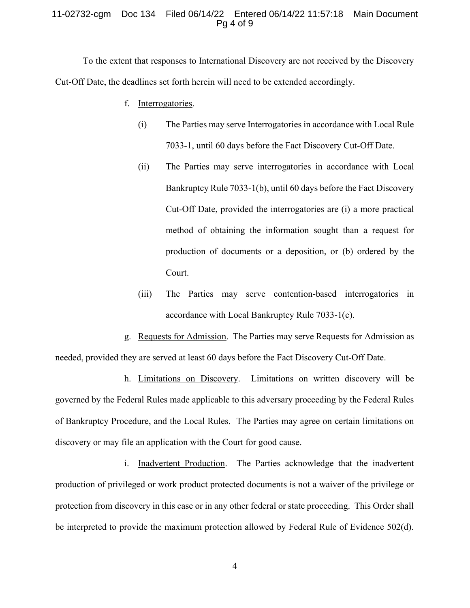#### 11-02732-cgm Doc 134 Filed 06/14/22 Entered 06/14/22 11:57:18 Main Document Pg 4 of 9

To the extent that responses to International Discovery are not received by the Discovery Cut-Off Date, the deadlines set forth herein will need to be extended accordingly.

- f. Interrogatories.
	- (i) The Parties may serve Interrogatories in accordance with Local Rule 7033-1, until 60 days before the Fact Discovery Cut-Off Date.
	- (ii) The Parties may serve interrogatories in accordance with Local Bankruptcy Rule 7033-1(b), until 60 days before the Fact Discovery Cut-Off Date, provided the interrogatories are (i) a more practical method of obtaining the information sought than a request for production of documents or a deposition, or (b) ordered by the Court.
	- (iii) The Parties may serve contention-based interrogatories in accordance with Local Bankruptcy Rule 7033-1(c).

g. Requests for Admission. The Parties may serve Requests for Admission as needed, provided they are served at least 60 days before the Fact Discovery Cut-Off Date.

h. Limitations on Discovery. Limitations on written discovery will be governed by the Federal Rules made applicable to this adversary proceeding by the Federal Rules of Bankruptcy Procedure, and the Local Rules. The Parties may agree on certain limitations on discovery or may file an application with the Court for good cause.

i. Inadvertent Production. The Parties acknowledge that the inadvertent production of privileged or work product protected documents is not a waiver of the privilege or protection from discovery in this case or in any other federal or state proceeding. This Order shall be interpreted to provide the maximum protection allowed by Federal Rule of Evidence 502(d).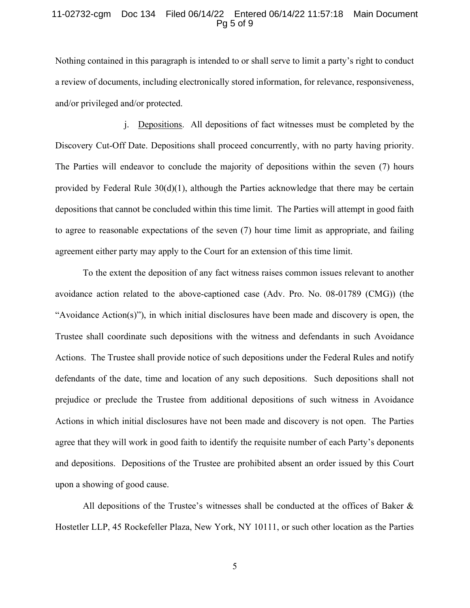#### 11-02732-cgm Doc 134 Filed 06/14/22 Entered 06/14/22 11:57:18 Main Document Pg 5 of 9

Nothing contained in this paragraph is intended to or shall serve to limit a party's right to conduct a review of documents, including electronically stored information, for relevance, responsiveness, and/or privileged and/or protected.

j. Depositions. All depositions of fact witnesses must be completed by the Discovery Cut-Off Date. Depositions shall proceed concurrently, with no party having priority. The Parties will endeavor to conclude the majority of depositions within the seven (7) hours provided by Federal Rule 30(d)(1), although the Parties acknowledge that there may be certain depositions that cannot be concluded within this time limit. The Parties will attempt in good faith to agree to reasonable expectations of the seven (7) hour time limit as appropriate, and failing agreement either party may apply to the Court for an extension of this time limit.

To the extent the deposition of any fact witness raises common issues relevant to another avoidance action related to the above-captioned case (Adv. Pro. No. 08-01789 (CMG)) (the "Avoidance Action(s)"), in which initial disclosures have been made and discovery is open, the Trustee shall coordinate such depositions with the witness and defendants in such Avoidance Actions. The Trustee shall provide notice of such depositions under the Federal Rules and notify defendants of the date, time and location of any such depositions. Such depositions shall not prejudice or preclude the Trustee from additional depositions of such witness in Avoidance Actions in which initial disclosures have not been made and discovery is not open. The Parties agree that they will work in good faith to identify the requisite number of each Party's deponents and depositions. Depositions of the Trustee are prohibited absent an order issued by this Court upon a showing of good cause.

All depositions of the Trustee's witnesses shall be conducted at the offices of Baker  $\&$ Hostetler LLP, 45 Rockefeller Plaza, New York, NY 10111, or such other location as the Parties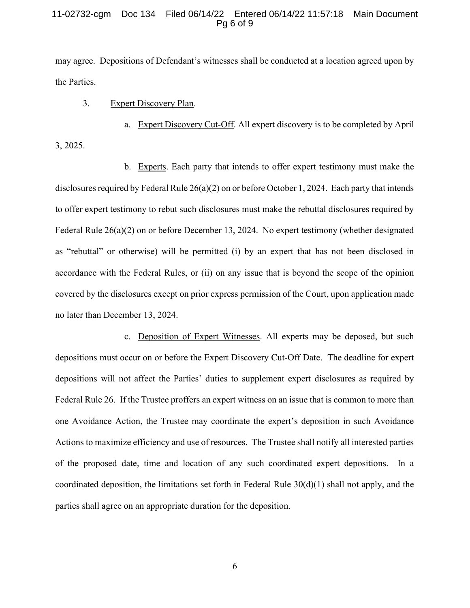#### 11-02732-cgm Doc 134 Filed 06/14/22 Entered 06/14/22 11:57:18 Main Document Pg 6 of 9

may agree. Depositions of Defendant's witnesses shall be conducted at a location agreed upon by the Parties.

### 3. Expert Discovery Plan.

a. Expert Discovery Cut-Off. All expert discovery is to be completed by April 3, 2025.

b. Experts. Each party that intends to offer expert testimony must make the disclosures required by Federal Rule 26(a)(2) on or before October 1, 2024. Each party that intends to offer expert testimony to rebut such disclosures must make the rebuttal disclosures required by Federal Rule 26(a)(2) on or before December 13, 2024. No expert testimony (whether designated as "rebuttal" or otherwise) will be permitted (i) by an expert that has not been disclosed in accordance with the Federal Rules, or (ii) on any issue that is beyond the scope of the opinion covered by the disclosures except on prior express permission of the Court, upon application made no later than December 13, 2024.

c. Deposition of Expert Witnesses. All experts may be deposed, but such depositions must occur on or before the Expert Discovery Cut-Off Date. The deadline for expert depositions will not affect the Parties' duties to supplement expert disclosures as required by Federal Rule 26. If the Trustee proffers an expert witness on an issue that is common to more than one Avoidance Action, the Trustee may coordinate the expert's deposition in such Avoidance Actions to maximize efficiency and use of resources. The Trustee shall notify all interested parties of the proposed date, time and location of any such coordinated expert depositions. In a coordinated deposition, the limitations set forth in Federal Rule  $30(d)(1)$  shall not apply, and the parties shall agree on an appropriate duration for the deposition.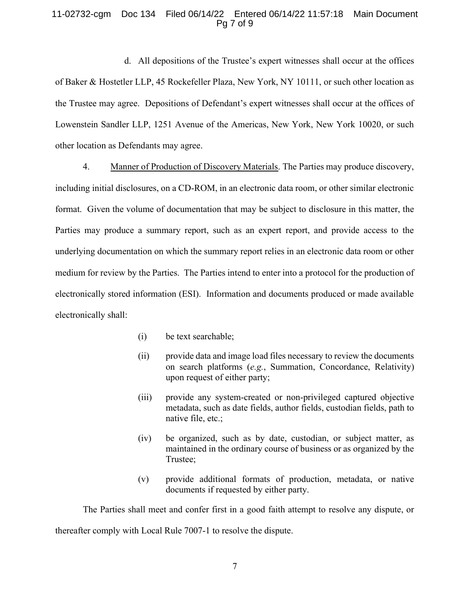### 11-02732-cgm Doc 134 Filed 06/14/22 Entered 06/14/22 11:57:18 Main Document Pg 7 of 9

d. All depositions of the Trustee's expert witnesses shall occur at the offices of Baker & Hostetler LLP, 45 Rockefeller Plaza, New York, NY 10111, or such other location as the Trustee may agree. Depositions of Defendant's expert witnesses shall occur at the offices of Lowenstein Sandler LLP, 1251 Avenue of the Americas, New York, New York 10020, or such other location as Defendants may agree.

4. Manner of Production of Discovery Materials. The Parties may produce discovery, including initial disclosures, on a CD-ROM, in an electronic data room, or other similar electronic format. Given the volume of documentation that may be subject to disclosure in this matter, the Parties may produce a summary report, such as an expert report, and provide access to the underlying documentation on which the summary report relies in an electronic data room or other medium for review by the Parties. The Parties intend to enter into a protocol for the production of electronically stored information (ESI). Information and documents produced or made available electronically shall:

- (i) be text searchable;
- (ii) provide data and image load files necessary to review the documents on search platforms (e.g., Summation, Concordance, Relativity) upon request of either party;
- (iii) provide any system-created or non-privileged captured objective metadata, such as date fields, author fields, custodian fields, path to native file, etc.;
- (iv) be organized, such as by date, custodian, or subject matter, as maintained in the ordinary course of business or as organized by the Trustee;
- (v) provide additional formats of production, metadata, or native documents if requested by either party.

The Parties shall meet and confer first in a good faith attempt to resolve any dispute, or thereafter comply with Local Rule 7007-1 to resolve the dispute.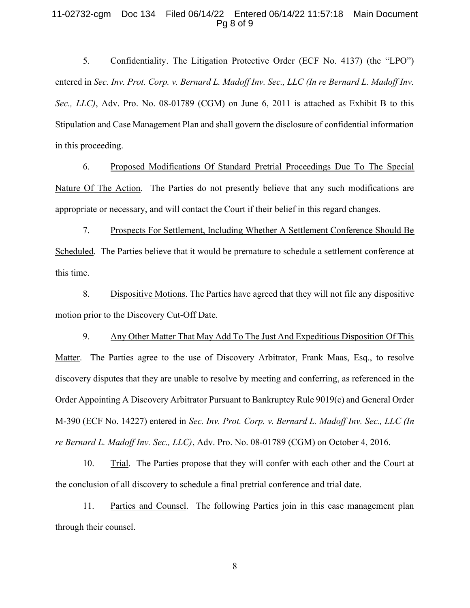#### 11-02732-cgm Doc 134 Filed 06/14/22 Entered 06/14/22 11:57:18 Main Document Pg 8 of 9

5. Confidentiality. The Litigation Protective Order (ECF No. 4137) (the "LPO") entered in Sec. Inv. Prot. Corp. v. Bernard L. Madoff Inv. Sec., LLC (In re Bernard L. Madoff Inv. Sec., LLC), Adv. Pro. No. 08-01789 (CGM) on June 6, 2011 is attached as Exhibit B to this Stipulation and Case Management Plan and shall govern the disclosure of confidential information in this proceeding.

6. Proposed Modifications Of Standard Pretrial Proceedings Due To The Special Nature Of The Action. The Parties do not presently believe that any such modifications are appropriate or necessary, and will contact the Court if their belief in this regard changes.

7. Prospects For Settlement, Including Whether A Settlement Conference Should Be Scheduled. The Parties believe that it would be premature to schedule a settlement conference at this time.

8. Dispositive Motions. The Parties have agreed that they will not file any dispositive motion prior to the Discovery Cut-Off Date.

9. Any Other Matter That May Add To The Just And Expeditious Disposition Of This Matter. The Parties agree to the use of Discovery Arbitrator, Frank Maas, Esq., to resolve discovery disputes that they are unable to resolve by meeting and conferring, as referenced in the Order Appointing A Discovery Arbitrator Pursuant to Bankruptcy Rule 9019(c) and General Order M-390 (ECF No. 14227) entered in Sec. Inv. Prot. Corp. v. Bernard L. Madoff Inv. Sec., LLC (In re Bernard L. Madoff Inv. Sec., LLC), Adv. Pro. No. 08-01789 (CGM) on October 4, 2016.

10. Trial. The Parties propose that they will confer with each other and the Court at the conclusion of all discovery to schedule a final pretrial conference and trial date.

11. Parties and Counsel. The following Parties join in this case management plan through their counsel.

8